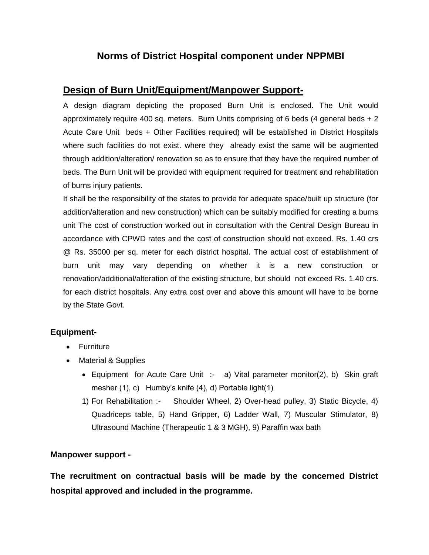## **Norms of District Hospital component under NPPMBI**

## **Design of Burn Unit/Equipment/Manpower Support-**

A design diagram depicting the proposed Burn Unit is enclosed. The Unit would approximately require 400 sq. meters. Burn Units comprising of 6 beds (4 general beds + 2 Acute Care Unit beds + Other Facilities required) will be established in District Hospitals where such facilities do not exist. where they already exist the same will be augmented through addition/alteration/ renovation so as to ensure that they have the required number of beds. The Burn Unit will be provided with equipment required for treatment and rehabilitation of burns injury patients.

It shall be the responsibility of the states to provide for adequate space/built up structure (for addition/alteration and new construction) which can be suitably modified for creating a burns unit The cost of construction worked out in consultation with the Central Design Bureau in accordance with CPWD rates and the cost of construction should not exceed. Rs. 1.40 crs @ Rs. 35000 per sq. meter for each district hospital. The actual cost of establishment of burn unit may vary depending on whether it is a new construction or renovation/additional/alteration of the existing structure, but should not exceed Rs. 1.40 crs. for each district hospitals. Any extra cost over and above this amount will have to be borne by the State Govt.

## **Equipment-**

- Furniture
- Material & Supplies
	- Equipment for Acute Care Unit :- a) Vital parameter monitor(2), b) Skin graft mesher (1), c) Humby's knife (4), d) Portable light(1)
	- 1) For Rehabilitation :- Shoulder Wheel, 2) Over-head pulley, 3) Static Bicycle, 4) Quadriceps table, 5) Hand Gripper, 6) Ladder Wall, 7) Muscular Stimulator, 8) Ultrasound Machine (Therapeutic 1 & 3 MGH), 9) Paraffin wax bath

## **Manpower support -**

**The recruitment on contractual basis will be made by the concerned District hospital approved and included in the programme.**